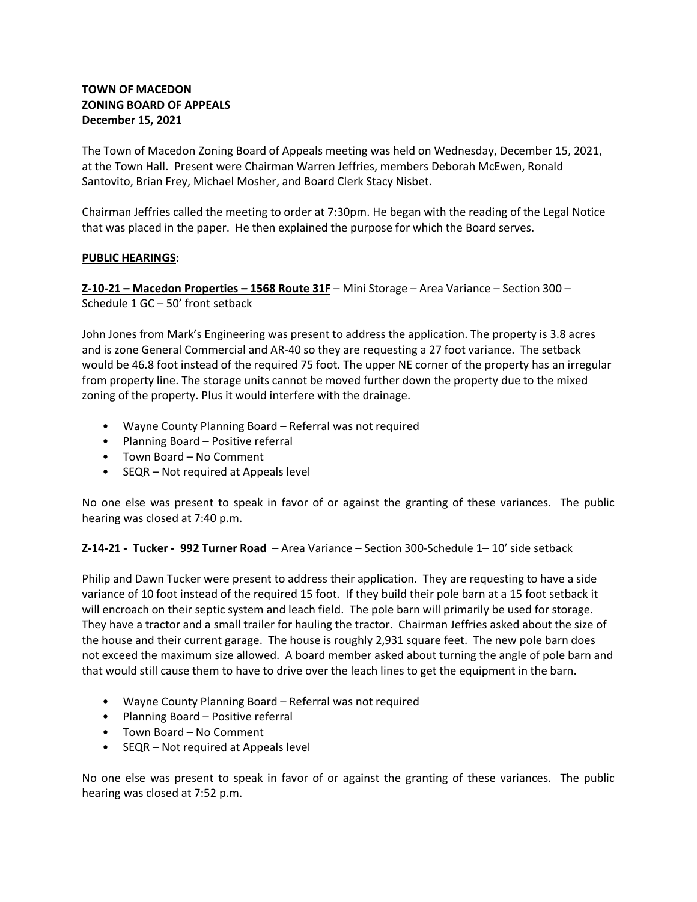# **TOWN OF MACEDON ZONING BOARD OF APPEALS December 15, 2021**

The Town of Macedon Zoning Board of Appeals meeting was held on Wednesday, December 15, 2021, at the Town Hall. Present were Chairman Warren Jeffries, members Deborah McEwen, Ronald Santovito, Brian Frey, Michael Mosher, and Board Clerk Stacy Nisbet.

Chairman Jeffries called the meeting to order at 7:30pm. He began with the reading of the Legal Notice that was placed in the paper. He then explained the purpose for which the Board serves.

# **PUBLIC HEARINGS:**

**Z-10-21 – Macedon Properties – 1568 Route 31F** – Mini Storage – Area Variance – Section 300 – Schedule 1 GC – 50' front setback

John Jones from Mark's Engineering was present to address the application. The property is 3.8 acres and is zone General Commercial and AR-40 so they are requesting a 27 foot variance. The setback would be 46.8 foot instead of the required 75 foot. The upper NE corner of the property has an irregular from property line. The storage units cannot be moved further down the property due to the mixed zoning of the property. Plus it would interfere with the drainage.

- Wayne County Planning Board Referral was not required
- Planning Board Positive referral
- Town Board No Comment
- SEQR Not required at Appeals level

No one else was present to speak in favor of or against the granting of these variances. The public hearing was closed at 7:40 p.m.

# **Z-14-21 - Tucker - 992 Turner Road** – Area Variance – Section 300-Schedule 1– 10' side setback

Philip and Dawn Tucker were present to address their application. They are requesting to have a side variance of 10 foot instead of the required 15 foot. If they build their pole barn at a 15 foot setback it will encroach on their septic system and leach field. The pole barn will primarily be used for storage. They have a tractor and a small trailer for hauling the tractor. Chairman Jeffries asked about the size of the house and their current garage. The house is roughly 2,931 square feet. The new pole barn does not exceed the maximum size allowed. A board member asked about turning the angle of pole barn and that would still cause them to have to drive over the leach lines to get the equipment in the barn.

- Wayne County Planning Board Referral was not required
- Planning Board Positive referral
- Town Board No Comment
- SEQR Not required at Appeals level

No one else was present to speak in favor of or against the granting of these variances. The public hearing was closed at 7:52 p.m.